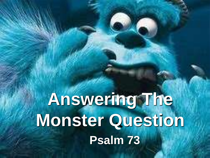**Answering The Monster Question Psalm 73**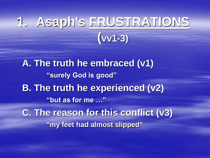# **1. Asaph's FRUSTRATIONS (vv1-3)**

**A. The truth he embraced (v1) "surely God is good" B. The truth he experienced (v2) "but as for me …" C. The reason for this conflict (v3) "my feet had almost slipped"**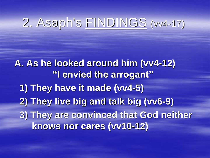# 2. Asaph's FINDINGS (vv4-17)

**A. As he looked around him (vv4-12) "I envied the arrogant" 1) They have it made (vv4-5) 2) They live big and talk big (vv6-9) 3) They are convinced that God neither knows nor cares (vv10-12)**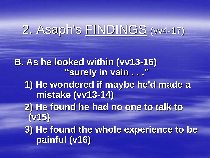#### 2. Asaph's FINDINGS (vv4-17)

**B. As he looked within (vv13-16) "surely in vain . . ." 1) He wondered if maybe he'd made a mistake (vv13-14) 2) He found he had no one to talk to (v15) 3) He found the whole experience to be painful (v16)**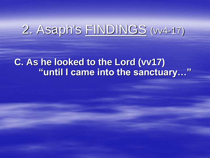### 2. Asaph's FINDINGS (vv4-17)

#### **C. As he looked to the Lord (vv17) "until I came into the sanctuary…"**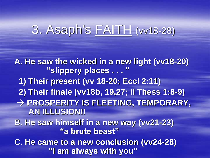#### 3. Asaph's FAITH (vv18-28)

**A. He saw the wicked in a new light (vv18-20) "slippery places . . . " 1) Their present (vv 18-20; Eccl 2:11) 2) Their finale (vv18b, 19,27; II Thess 1:8-9)** → **PROSPERITY IS FLEETING, TEMPORARY, AN ILLUSION!! B. He saw himself in a new way (vv21-23) "a brute beast" C. He came to a new conclusion (vv24-28) "I am always with you"**